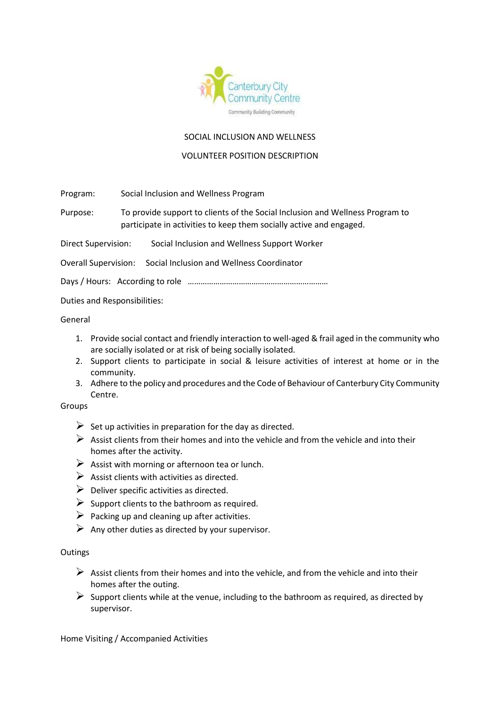

## SOCIAL INCLUSION AND WELLNESS

## VOLUNTEER POSITION DESCRIPTION

Program: Social Inclusion and Wellness Program

Purpose: To provide support to clients of the Social Inclusion and Wellness Program to participate in activities to keep them socially active and engaged.

Direct Supervision: Social Inclusion and Wellness Support Worker

Overall Supervision: Social Inclusion and Wellness Coordinator

Days / Hours: According to role …………………………………………………………

Duties and Responsibilities:

General

- 1. Provide social contact and friendly interaction to well-aged & frail aged in the community who are socially isolated or at risk of being socially isolated.
- 2. Support clients to participate in social & leisure activities of interest at home or in the community.
- 3. Adhere to the policy and procedures and the Code of Behaviour of Canterbury City Community Centre.

## Groups

- $\triangleright$  Set up activities in preparation for the day as directed.
- $\triangleright$  Assist clients from their homes and into the vehicle and from the vehicle and into their homes after the activity.
- $\triangleright$  Assist with morning or afternoon tea or lunch.
- $\triangleright$  Assist clients with activities as directed.
- $\triangleright$  Deliver specific activities as directed.
- $\triangleright$  Support clients to the bathroom as required.
- $\triangleright$  Packing up and cleaning up after activities.
- $\triangleright$  Any other duties as directed by your supervisor.

#### **Outings**

- $\triangleright$  Assist clients from their homes and into the vehicle, and from the vehicle and into their homes after the outing.
- $\triangleright$  Support clients while at the venue, including to the bathroom as required, as directed by supervisor.

Home Visiting / Accompanied Activities